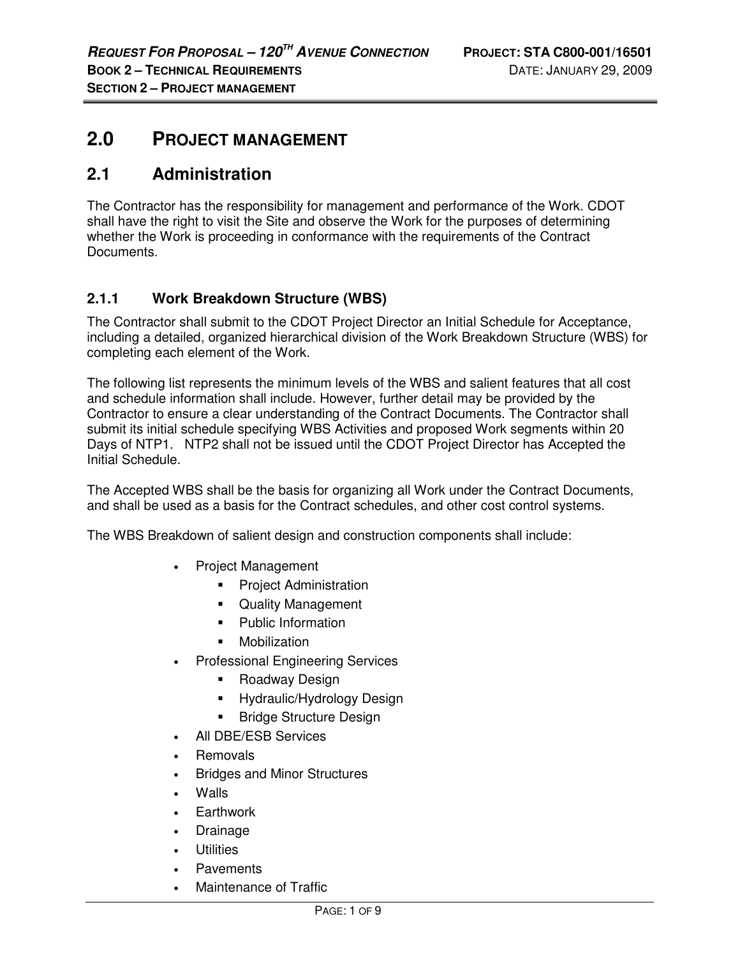# **2.0 PROJECT MANAGEMENT**

# **2.1 Administration**

The Contractor has the responsibility for management and performance of the Work. CDOT shall have the right to visit the Site and observe the Work for the purposes of determining whether the Work is proceeding in conformance with the requirements of the Contract Documents.

## **2.1.1 Work Breakdown Structure (WBS)**

The Contractor shall submit to the CDOT Project Director an Initial Schedule for Acceptance, including a detailed, organized hierarchical division of the Work Breakdown Structure (WBS) for completing each element of the Work.

The following list represents the minimum levels of the WBS and salient features that all cost and schedule information shall include. However, further detail may be provided by the Contractor to ensure a clear understanding of the Contract Documents. The Contractor shall submit its initial schedule specifying WBS Activities and proposed Work segments within 20 Days of NTP1. NTP2 shall not be issued until the CDOT Project Director has Accepted the Initial Schedule.

The Accepted WBS shall be the basis for organizing all Work under the Contract Documents, and shall be used as a basis for the Contract schedules, and other cost control systems.

The WBS Breakdown of salient design and construction components shall include:

- Project Management
	- **•** Project Administration
	- **Quality Management**
	- **Public Information**
	- **•** Mobilization
- Professional Engineering Services
	- Roadway Design
	- **Hydraulic/Hydrology Design**
	- Bridge Structure Design
- All DBE/ESB Services
- **Removals**
- Bridges and Minor Structures
- Walls
- **Earthwork**
- **Drainage**
- **Utilities**
- Pavements
- Maintenance of Traffic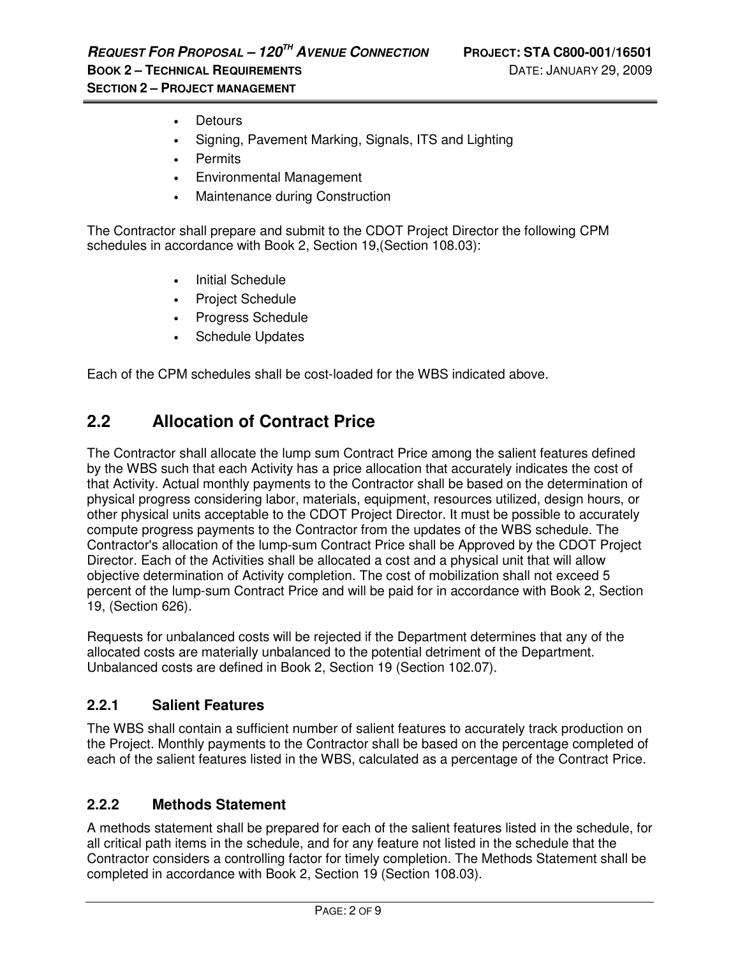- Detours
- Signing, Pavement Marking, Signals, ITS and Lighting
- Permits
- Environmental Management
- Maintenance during Construction

The Contractor shall prepare and submit to the CDOT Project Director the following CPM schedules in accordance with Book 2, Section 19,(Section 108.03):

- **Initial Schedule**
- Project Schedule
- Progress Schedule
- Schedule Updates

Each of the CPM schedules shall be cost-loaded for the WBS indicated above.

# **2.2 Allocation of Contract Price**

The Contractor shall allocate the lump sum Contract Price among the salient features defined by the WBS such that each Activity has a price allocation that accurately indicates the cost of that Activity. Actual monthly payments to the Contractor shall be based on the determination of physical progress considering labor, materials, equipment, resources utilized, design hours, or other physical units acceptable to the CDOT Project Director. It must be possible to accurately compute progress payments to the Contractor from the updates of the WBS schedule. The Contractor's allocation of the lump-sum Contract Price shall be Approved by the CDOT Project Director. Each of the Activities shall be allocated a cost and a physical unit that will allow objective determination of Activity completion. The cost of mobilization shall not exceed 5 percent of the lump-sum Contract Price and will be paid for in accordance with Book 2, Section 19, (Section 626).

Requests for unbalanced costs will be rejected if the Department determines that any of the allocated costs are materially unbalanced to the potential detriment of the Department. Unbalanced costs are defined in Book 2, Section 19 (Section 102.07).

## **2.2.1 Salient Features**

The WBS shall contain a sufficient number of salient features to accurately track production on the Project. Monthly payments to the Contractor shall be based on the percentage completed of each of the salient features listed in the WBS, calculated as a percentage of the Contract Price.

## **2.2.2 Methods Statement**

A methods statement shall be prepared for each of the salient features listed in the schedule, for all critical path items in the schedule, and for any feature not listed in the schedule that the Contractor considers a controlling factor for timely completion. The Methods Statement shall be completed in accordance with Book 2, Section 19 (Section 108.03).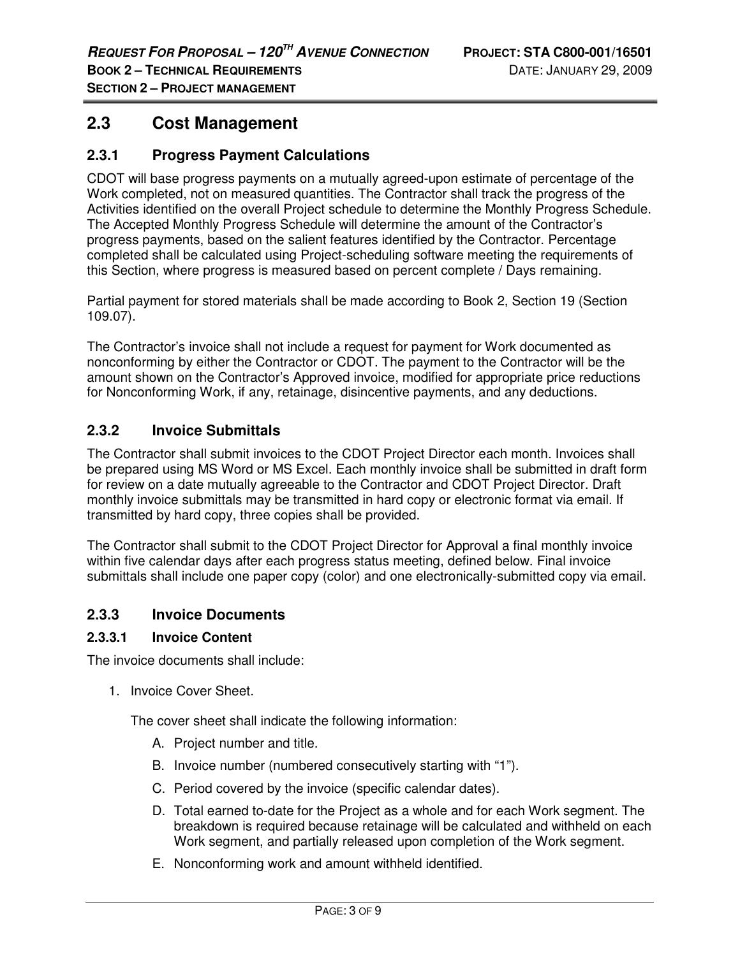## **2.3 Cost Management**

### **2.3.1 Progress Payment Calculations**

CDOT will base progress payments on a mutually agreed-upon estimate of percentage of the Work completed, not on measured quantities. The Contractor shall track the progress of the Activities identified on the overall Project schedule to determine the Monthly Progress Schedule. The Accepted Monthly Progress Schedule will determine the amount of the Contractor's progress payments, based on the salient features identified by the Contractor. Percentage completed shall be calculated using Project-scheduling software meeting the requirements of this Section, where progress is measured based on percent complete / Days remaining.

Partial payment for stored materials shall be made according to Book 2, Section 19 (Section 109.07).

The Contractor's invoice shall not include a request for payment for Work documented as nonconforming by either the Contractor or CDOT. The payment to the Contractor will be the amount shown on the Contractor's Approved invoice, modified for appropriate price reductions for Nonconforming Work, if any, retainage, disincentive payments, and any deductions.

### **2.3.2 Invoice Submittals**

The Contractor shall submit invoices to the CDOT Project Director each month. Invoices shall be prepared using MS Word or MS Excel. Each monthly invoice shall be submitted in draft form for review on a date mutually agreeable to the Contractor and CDOT Project Director. Draft monthly invoice submittals may be transmitted in hard copy or electronic format via email. If transmitted by hard copy, three copies shall be provided.

The Contractor shall submit to the CDOT Project Director for Approval a final monthly invoice within five calendar days after each progress status meeting, defined below. Final invoice submittals shall include one paper copy (color) and one electronically-submitted copy via email.

#### **2.3.3 Invoice Documents**

#### **2.3.3.1 Invoice Content**

The invoice documents shall include:

1. Invoice Cover Sheet.

The cover sheet shall indicate the following information:

- A. Project number and title.
- B. Invoice number (numbered consecutively starting with "1").
- C. Period covered by the invoice (specific calendar dates).
- D. Total earned to-date for the Project as a whole and for each Work segment. The breakdown is required because retainage will be calculated and withheld on each Work segment, and partially released upon completion of the Work segment.
- E. Nonconforming work and amount withheld identified.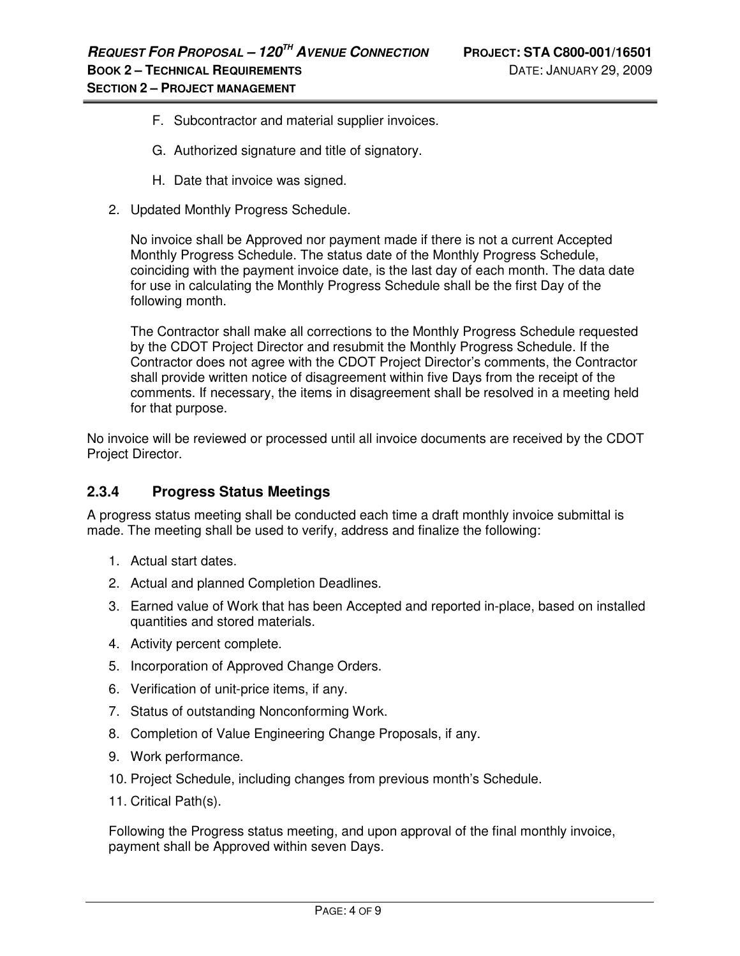- F. Subcontractor and material supplier invoices.
- G. Authorized signature and title of signatory.
- H. Date that invoice was signed.
- 2. Updated Monthly Progress Schedule.

No invoice shall be Approved nor payment made if there is not a current Accepted Monthly Progress Schedule. The status date of the Monthly Progress Schedule, coinciding with the payment invoice date, is the last day of each month. The data date for use in calculating the Monthly Progress Schedule shall be the first Day of the following month.

The Contractor shall make all corrections to the Monthly Progress Schedule requested by the CDOT Project Director and resubmit the Monthly Progress Schedule. If the Contractor does not agree with the CDOT Project Director's comments, the Contractor shall provide written notice of disagreement within five Days from the receipt of the comments. If necessary, the items in disagreement shall be resolved in a meeting held for that purpose.

No invoice will be reviewed or processed until all invoice documents are received by the CDOT Project Director.

## **2.3.4 Progress Status Meetings**

A progress status meeting shall be conducted each time a draft monthly invoice submittal is made. The meeting shall be used to verify, address and finalize the following:

- 1. Actual start dates.
- 2. Actual and planned Completion Deadlines.
- 3. Earned value of Work that has been Accepted and reported in-place, based on installed quantities and stored materials.
- 4. Activity percent complete.
- 5. Incorporation of Approved Change Orders.
- 6. Verification of unit-price items, if any.
- 7. Status of outstanding Nonconforming Work.
- 8. Completion of Value Engineering Change Proposals, if any.
- 9. Work performance.
- 10. Project Schedule, including changes from previous month's Schedule.
- 11. Critical Path(s).

Following the Progress status meeting, and upon approval of the final monthly invoice, payment shall be Approved within seven Days.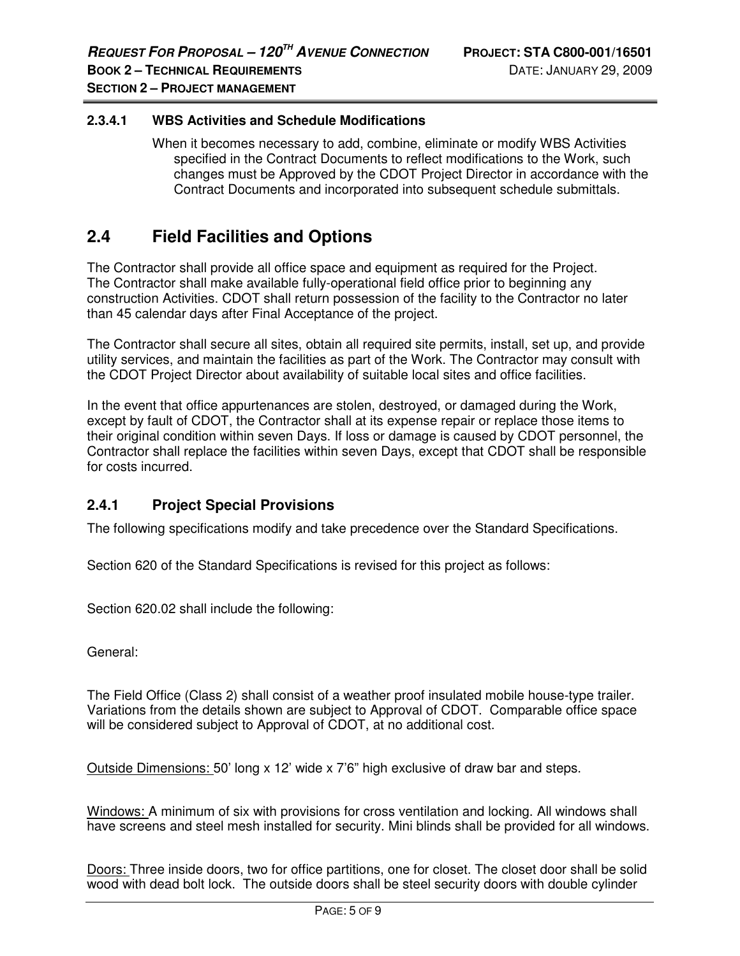#### **2.3.4.1 WBS Activities and Schedule Modifications**

 When it becomes necessary to add, combine, eliminate or modify WBS Activities specified in the Contract Documents to reflect modifications to the Work, such changes must be Approved by the CDOT Project Director in accordance with the Contract Documents and incorporated into subsequent schedule submittals.

## **2.4 Field Facilities and Options**

The Contractor shall provide all office space and equipment as required for the Project. The Contractor shall make available fully-operational field office prior to beginning any construction Activities. CDOT shall return possession of the facility to the Contractor no later than 45 calendar days after Final Acceptance of the project.

The Contractor shall secure all sites, obtain all required site permits, install, set up, and provide utility services, and maintain the facilities as part of the Work. The Contractor may consult with the CDOT Project Director about availability of suitable local sites and office facilities.

In the event that office appurtenances are stolen, destroyed, or damaged during the Work, except by fault of CDOT, the Contractor shall at its expense repair or replace those items to their original condition within seven Days. If loss or damage is caused by CDOT personnel, the Contractor shall replace the facilities within seven Days, except that CDOT shall be responsible for costs incurred.

## **2.4.1 Project Special Provisions**

The following specifications modify and take precedence over the Standard Specifications.

Section 620 of the Standard Specifications is revised for this project as follows:

Section 620.02 shall include the following:

General:

The Field Office (Class 2) shall consist of a weather proof insulated mobile house-type trailer. Variations from the details shown are subject to Approval of CDOT. Comparable office space will be considered subject to Approval of CDOT, at no additional cost.

Outside Dimensions: 50' long x 12' wide x 7'6" high exclusive of draw bar and steps.

Windows: A minimum of six with provisions for cross ventilation and locking. All windows shall have screens and steel mesh installed for security. Mini blinds shall be provided for all windows.

Doors: Three inside doors, two for office partitions, one for closet. The closet door shall be solid wood with dead bolt lock. The outside doors shall be steel security doors with double cylinder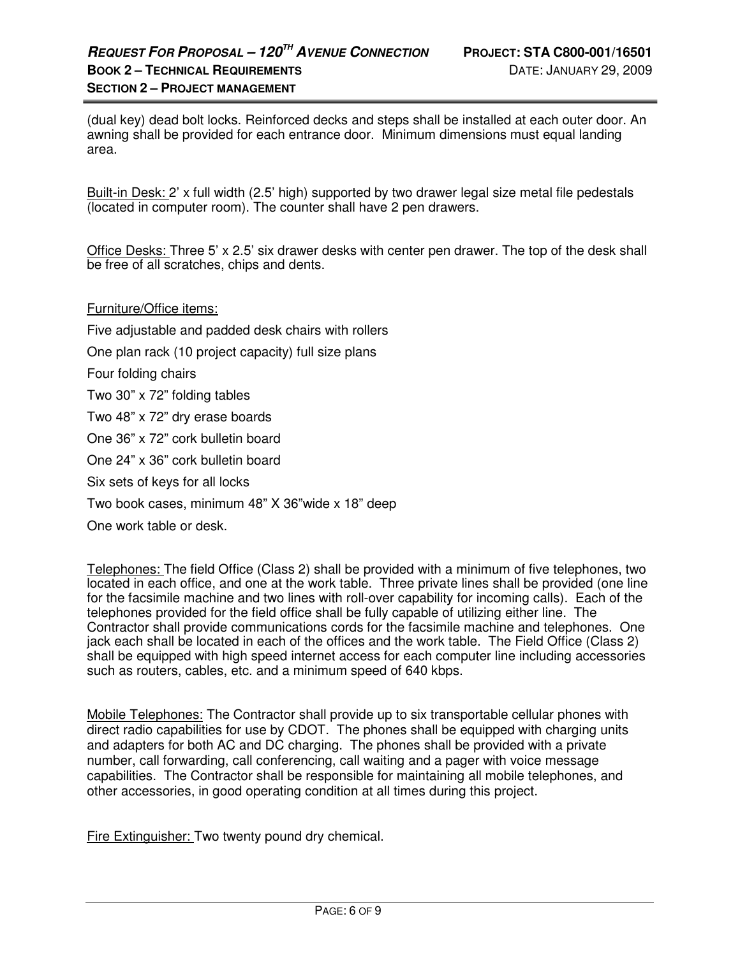(dual key) dead bolt locks. Reinforced decks and steps shall be installed at each outer door. An awning shall be provided for each entrance door. Minimum dimensions must equal landing area.

Built-in Desk: 2' x full width (2.5' high) supported by two drawer legal size metal file pedestals (located in computer room). The counter shall have 2 pen drawers.

Office Desks: Three 5' x 2.5' six drawer desks with center pen drawer. The top of the desk shall be free of all scratches, chips and dents.

#### Furniture/Office items:

Five adjustable and padded desk chairs with rollers One plan rack (10 project capacity) full size plans Four folding chairs Two 30" x 72" folding tables Two 48" x 72" dry erase boards One 36" x 72" cork bulletin board One 24" x 36" cork bulletin board Six sets of keys for all locks Two book cases, minimum 48" X 36"wide x 18" deep

One work table or desk.

Telephones: The field Office (Class 2) shall be provided with a minimum of five telephones, two located in each office, and one at the work table. Three private lines shall be provided (one line for the facsimile machine and two lines with roll-over capability for incoming calls). Each of the telephones provided for the field office shall be fully capable of utilizing either line. The Contractor shall provide communications cords for the facsimile machine and telephones. One jack each shall be located in each of the offices and the work table. The Field Office (Class 2) shall be equipped with high speed internet access for each computer line including accessories such as routers, cables, etc. and a minimum speed of 640 kbps.

Mobile Telephones: The Contractor shall provide up to six transportable cellular phones with direct radio capabilities for use by CDOT. The phones shall be equipped with charging units and adapters for both AC and DC charging. The phones shall be provided with a private number, call forwarding, call conferencing, call waiting and a pager with voice message capabilities. The Contractor shall be responsible for maintaining all mobile telephones, and other accessories, in good operating condition at all times during this project.

Fire Extinguisher: Two twenty pound dry chemical.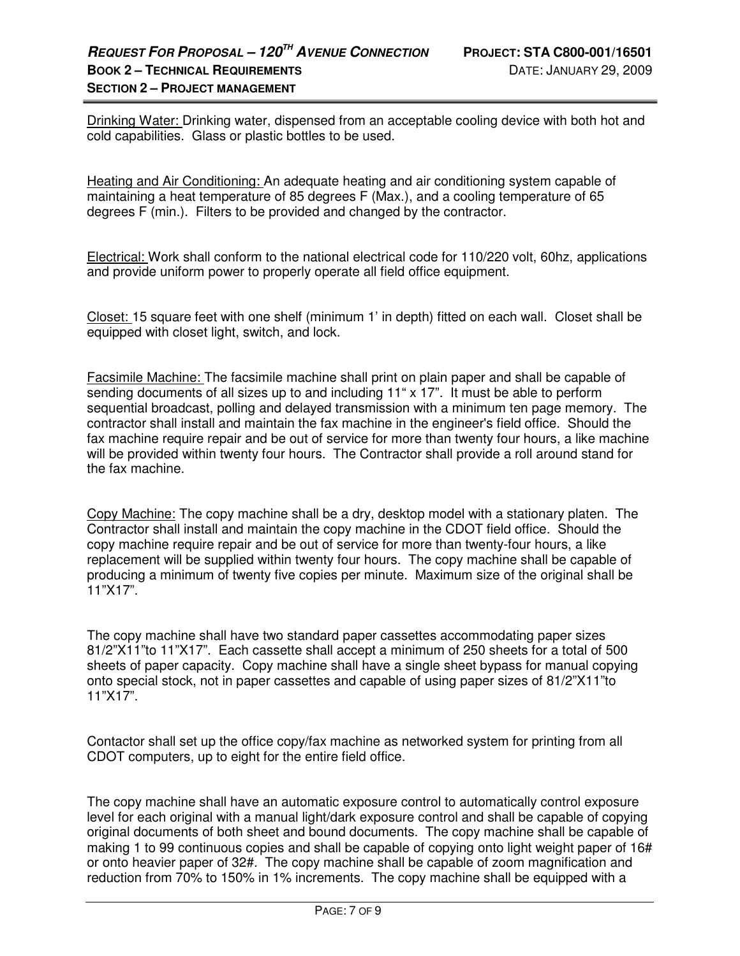Drinking Water: Drinking water, dispensed from an acceptable cooling device with both hot and cold capabilities. Glass or plastic bottles to be used.

Heating and Air Conditioning: An adequate heating and air conditioning system capable of maintaining a heat temperature of 85 degrees F (Max.), and a cooling temperature of 65 degrees F (min.). Filters to be provided and changed by the contractor.

Electrical: Work shall conform to the national electrical code for 110/220 volt, 60hz, applications and provide uniform power to properly operate all field office equipment.

Closet: 15 square feet with one shelf (minimum 1' in depth) fitted on each wall. Closet shall be equipped with closet light, switch, and lock.

Facsimile Machine: The facsimile machine shall print on plain paper and shall be capable of sending documents of all sizes up to and including 11" x 17". It must be able to perform sequential broadcast, polling and delayed transmission with a minimum ten page memory. The contractor shall install and maintain the fax machine in the engineer's field office. Should the fax machine require repair and be out of service for more than twenty four hours, a like machine will be provided within twenty four hours. The Contractor shall provide a roll around stand for the fax machine.

Copy Machine: The copy machine shall be a dry, desktop model with a stationary platen. The Contractor shall install and maintain the copy machine in the CDOT field office. Should the copy machine require repair and be out of service for more than twenty-four hours, a like replacement will be supplied within twenty four hours. The copy machine shall be capable of producing a minimum of twenty five copies per minute. Maximum size of the original shall be 11"X17".

The copy machine shall have two standard paper cassettes accommodating paper sizes 81/2"X11"to 11"X17". Each cassette shall accept a minimum of 250 sheets for a total of 500 sheets of paper capacity. Copy machine shall have a single sheet bypass for manual copying onto special stock, not in paper cassettes and capable of using paper sizes of 81/2"X11"to 11"X17".

Contactor shall set up the office copy/fax machine as networked system for printing from all CDOT computers, up to eight for the entire field office.

The copy machine shall have an automatic exposure control to automatically control exposure level for each original with a manual light/dark exposure control and shall be capable of copying original documents of both sheet and bound documents. The copy machine shall be capable of making 1 to 99 continuous copies and shall be capable of copying onto light weight paper of 16# or onto heavier paper of 32#. The copy machine shall be capable of zoom magnification and reduction from 70% to 150% in 1% increments. The copy machine shall be equipped with a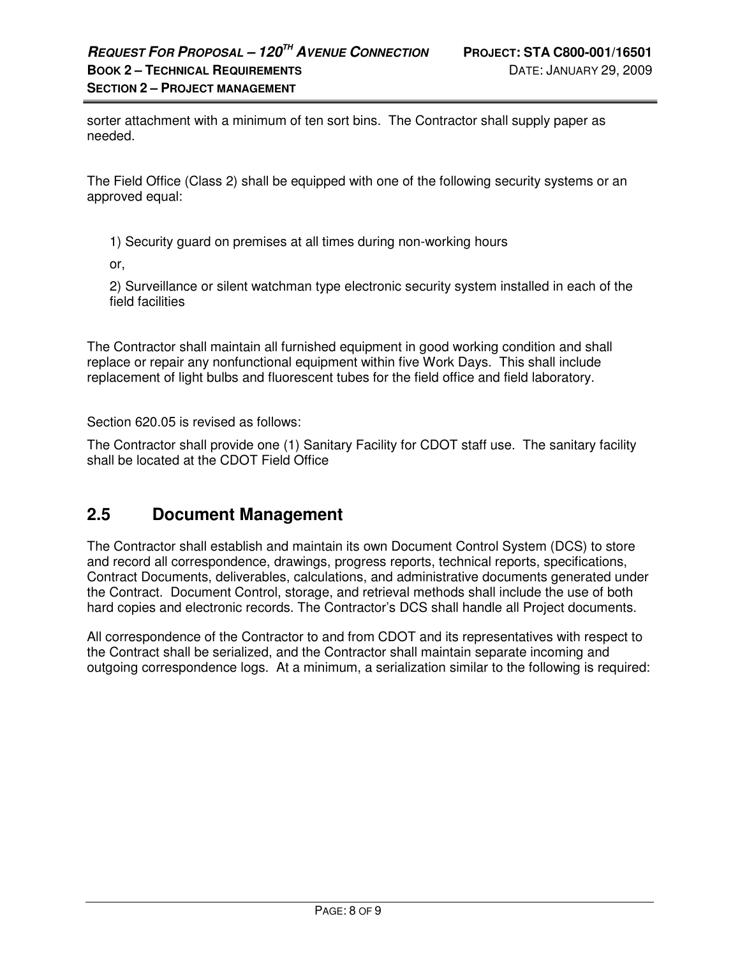sorter attachment with a minimum of ten sort bins. The Contractor shall supply paper as needed.

The Field Office (Class 2) shall be equipped with one of the following security systems or an approved equal:

1) Security guard on premises at all times during non-working hours

or,

2) Surveillance or silent watchman type electronic security system installed in each of the field facilities

The Contractor shall maintain all furnished equipment in good working condition and shall replace or repair any nonfunctional equipment within five Work Days. This shall include replacement of light bulbs and fluorescent tubes for the field office and field laboratory.

Section 620.05 is revised as follows:

The Contractor shall provide one (1) Sanitary Facility for CDOT staff use. The sanitary facility shall be located at the CDOT Field Office

# **2.5 Document Management**

The Contractor shall establish and maintain its own Document Control System (DCS) to store and record all correspondence, drawings, progress reports, technical reports, specifications, Contract Documents, deliverables, calculations, and administrative documents generated under the Contract. Document Control, storage, and retrieval methods shall include the use of both hard copies and electronic records. The Contractor's DCS shall handle all Project documents.

All correspondence of the Contractor to and from CDOT and its representatives with respect to the Contract shall be serialized, and the Contractor shall maintain separate incoming and outgoing correspondence logs. At a minimum, a serialization similar to the following is required: